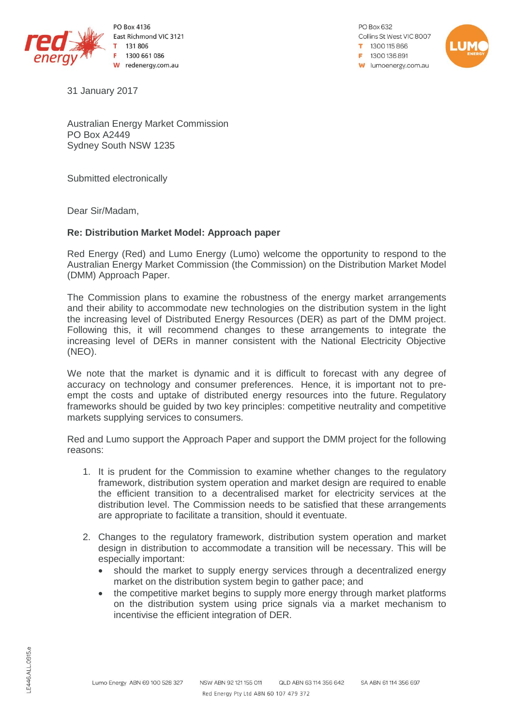

PO Box 4136 East Richmond VIC 3121 131 806 1300 661 086 W redenergy.com.au

PO Box 632 Collins St West VIC 8007 1300115866  $= 1300136891$ **w** lumoenergy.com.au



31 January 2017

Australian Energy Market Commission PO Box A2449 Sydney South NSW 1235

Submitted electronically

Dear Sir/Madam,

# **Re: Distribution Market Model: Approach paper**

Red Energy (Red) and Lumo Energy (Lumo) welcome the opportunity to respond to the Australian Energy Market Commission (the Commission) on the Distribution Market Model (DMM) Approach Paper.

The Commission plans to examine the robustness of the energy market arrangements and their ability to accommodate new technologies on the distribution system in the light the increasing level of Distributed Energy Resources (DER) as part of the DMM project. Following this, it will recommend changes to these arrangements to integrate the increasing level of DERs in manner consistent with the National Electricity Objective (NEO).

We note that the market is dynamic and it is difficult to forecast with any degree of accuracy on technology and consumer preferences. Hence, it is important not to preempt the costs and uptake of distributed energy resources into the future. Regulatory frameworks should be guided by two key principles: competitive neutrality and competitive markets supplying services to consumers.

Red and Lumo support the Approach Paper and support the DMM project for the following reasons:

- 1. It is prudent for the Commission to examine whether changes to the regulatory framework, distribution system operation and market design are required to enable the efficient transition to a decentralised market for electricity services at the distribution level. The Commission needs to be satisfied that these arrangements are appropriate to facilitate a transition, should it eventuate.
- 2. Changes to the regulatory framework, distribution system operation and market design in distribution to accommodate a transition will be necessary. This will be especially important:
	- should the market to supply energy services through a decentralized energy market on the distribution system begin to gather pace; and
	- the competitive market begins to supply more energy through market platforms on the distribution system using price signals via a market mechanism to incentivise the efficient integration of DER.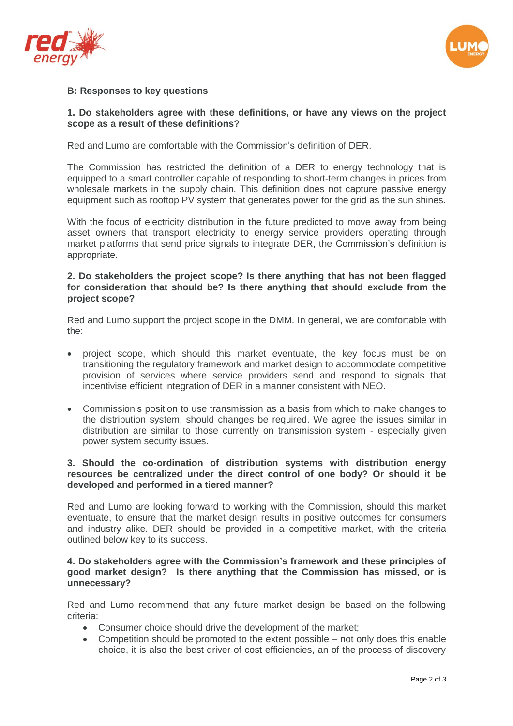



## **B: Responses to key questions**

### **1. Do stakeholders agree with these definitions, or have any views on the project scope as a result of these definitions?**

Red and Lumo are comfortable with the Commission's definition of DER.

The Commission has restricted the definition of a DER to energy technology that is equipped to a smart controller capable of responding to short-term changes in prices from wholesale markets in the supply chain. This definition does not capture passive energy equipment such as rooftop PV system that generates power for the grid as the sun shines.

With the focus of electricity distribution in the future predicted to move away from being asset owners that transport electricity to energy service providers operating through market platforms that send price signals to integrate DER, the Commission's definition is appropriate.

#### **2. Do stakeholders the project scope? Is there anything that has not been flagged for consideration that should be? Is there anything that should exclude from the project scope?**

Red and Lumo support the project scope in the DMM. In general, we are comfortable with the:

- project scope, which should this market eventuate, the key focus must be on transitioning the regulatory framework and market design to accommodate competitive provision of services where service providers send and respond to signals that incentivise efficient integration of DER in a manner consistent with NEO.
- Commission's position to use transmission as a basis from which to make changes to the distribution system, should changes be required. We agree the issues similar in distribution are similar to those currently on transmission system - especially given power system security issues.

### **3. Should the co-ordination of distribution systems with distribution energy resources be centralized under the direct control of one body? Or should it be developed and performed in a tiered manner?**

Red and Lumo are looking forward to working with the Commission, should this market eventuate, to ensure that the market design results in positive outcomes for consumers and industry alike. DER should be provided in a competitive market, with the criteria outlined below key to its success.

#### **4. Do stakeholders agree with the Commission's framework and these principles of good market design? Is there anything that the Commission has missed, or is unnecessary?**

Red and Lumo recommend that any future market design be based on the following criteria:

- Consumer choice should drive the development of the market;
- Competition should be promoted to the extent possible not only does this enable choice, it is also the best driver of cost efficiencies, an of the process of discovery